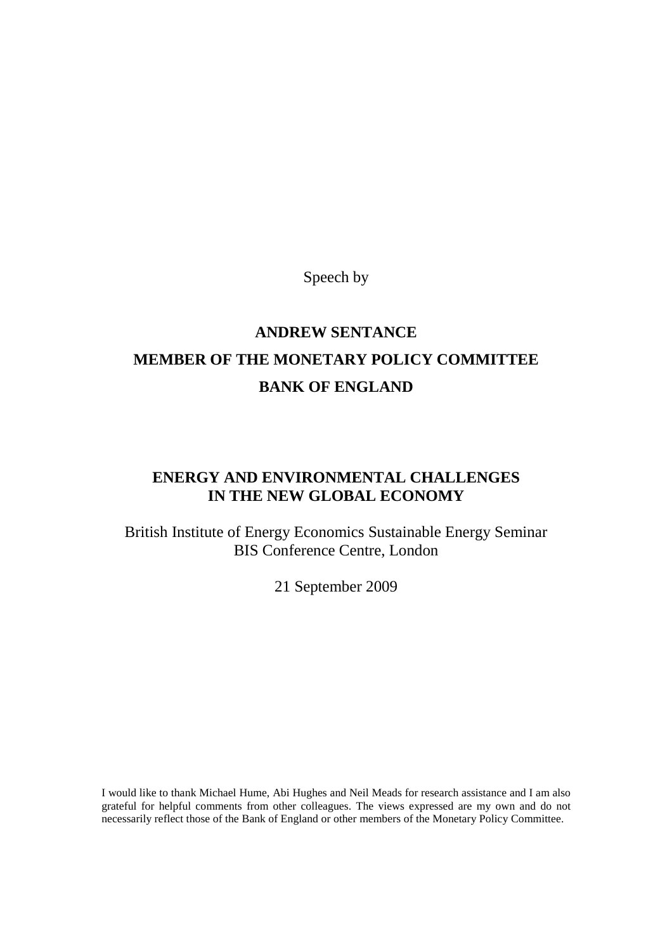Speech by

# **ANDREW SENTANCE MEMBER OF THE MONETARY POLICY COMMITTEE BANK OF ENGLAND**

# **ENERGY AND ENVIRONMENTAL CHALLENGES IN THE NEW GLOBAL ECONOMY**

British Institute of Energy Economics Sustainable Energy Seminar BIS Conference Centre, London

21 September 2009

I would like to thank Michael Hume, Abi Hughes and Neil Meads for research assistance and I am also grateful for helpful comments from other colleagues. The views expressed are my own and do not necessarily reflect those of the Bank of England or other members of the Monetary Policy Committee.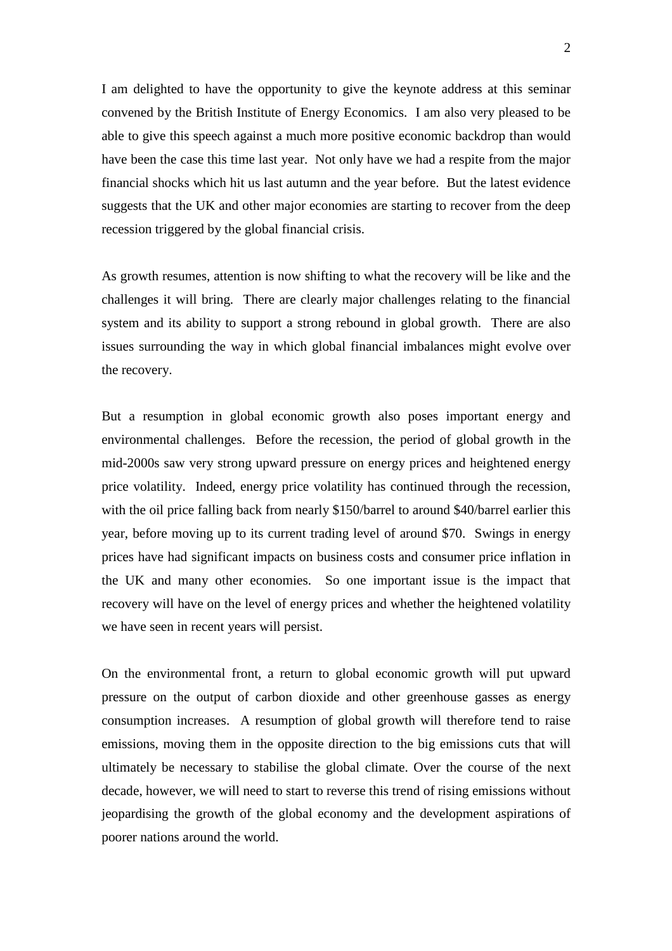I am delighted to have the opportunity to give the keynote address at this seminar convened by the British Institute of Energy Economics. I am also very pleased to be able to give this speech against a much more positive economic backdrop than would have been the case this time last year. Not only have we had a respite from the major financial shocks which hit us last autumn and the year before. But the latest evidence suggests that the UK and other major economies are starting to recover from the deep recession triggered by the global financial crisis.

As growth resumes, attention is now shifting to what the recovery will be like and the challenges it will bring. There are clearly major challenges relating to the financial system and its ability to support a strong rebound in global growth. There are also issues surrounding the way in which global financial imbalances might evolve over the recovery.

But a resumption in global economic growth also poses important energy and environmental challenges. Before the recession, the period of global growth in the mid-2000s saw very strong upward pressure on energy prices and heightened energy price volatility. Indeed, energy price volatility has continued through the recession, with the oil price falling back from nearly \$150/barrel to around \$40/barrel earlier this year, before moving up to its current trading level of around \$70. Swings in energy prices have had significant impacts on business costs and consumer price inflation in the UK and many other economies. So one important issue is the impact that recovery will have on the level of energy prices and whether the heightened volatility we have seen in recent years will persist.

On the environmental front, a return to global economic growth will put upward pressure on the output of carbon dioxide and other greenhouse gasses as energy consumption increases. A resumption of global growth will therefore tend to raise emissions, moving them in the opposite direction to the big emissions cuts that will ultimately be necessary to stabilise the global climate. Over the course of the next decade, however, we will need to start to reverse this trend of rising emissions without jeopardising the growth of the global economy and the development aspirations of poorer nations around the world.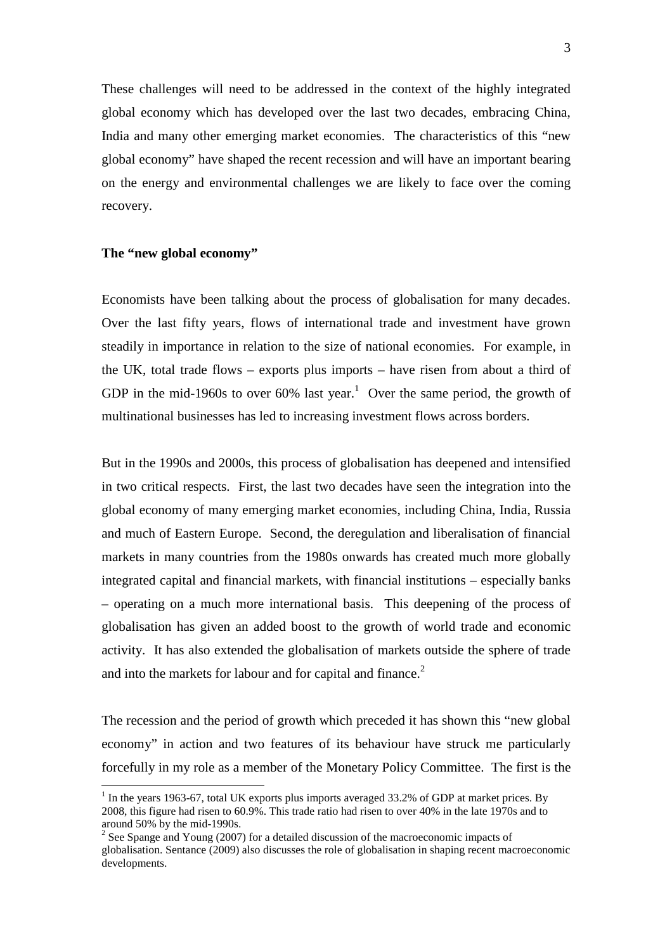These challenges will need to be addressed in the context of the highly integrated global economy which has developed over the last two decades, embracing China, India and many other emerging market economies. The characteristics of this "new global economy" have shaped the recent recession and will have an important bearing on the energy and environmental challenges we are likely to face over the coming recovery.

#### **The "new global economy"**

Economists have been talking about the process of globalisation for many decades. Over the last fifty years, flows of international trade and investment have grown steadily in importance in relation to the size of national economies. For example, in the UK, total trade flows – exports plus imports – have risen from about a third of GDP in the mid-1960s to over  $60\%$  last year.<sup>1</sup> Over the same period, the growth of multinational businesses has led to increasing investment flows across borders.

But in the 1990s and 2000s, this process of globalisation has deepened and intensified in two critical respects. First, the last two decades have seen the integration into the global economy of many emerging market economies, including China, India, Russia and much of Eastern Europe. Second, the deregulation and liberalisation of financial markets in many countries from the 1980s onwards has created much more globally integrated capital and financial markets, with financial institutions – especially banks – operating on a much more international basis. This deepening of the process of globalisation has given an added boost to the growth of world trade and economic activity. It has also extended the globalisation of markets outside the sphere of trade and into the markets for labour and for capital and finance.<sup>2</sup>

The recession and the period of growth which preceded it has shown this "new global economy" in action and two features of its behaviour have struck me particularly forcefully in my role as a member of the Monetary Policy Committee. The first is the

 $<sup>1</sup>$  In the years 1963-67, total UK exports plus imports averaged 33.2% of GDP at market prices. By</sup> 2008, this figure had risen to 60.9%. This trade ratio had risen to over 40% in the late 1970s and to around 50% by the mid-1990s.

<sup>&</sup>lt;sup>2</sup> See Spange and Young (2007) for a detailed discussion of the macroeconomic impacts of globalisation. Sentance (2009) also discusses the role of globalisation in shaping recent macroeconomic developments.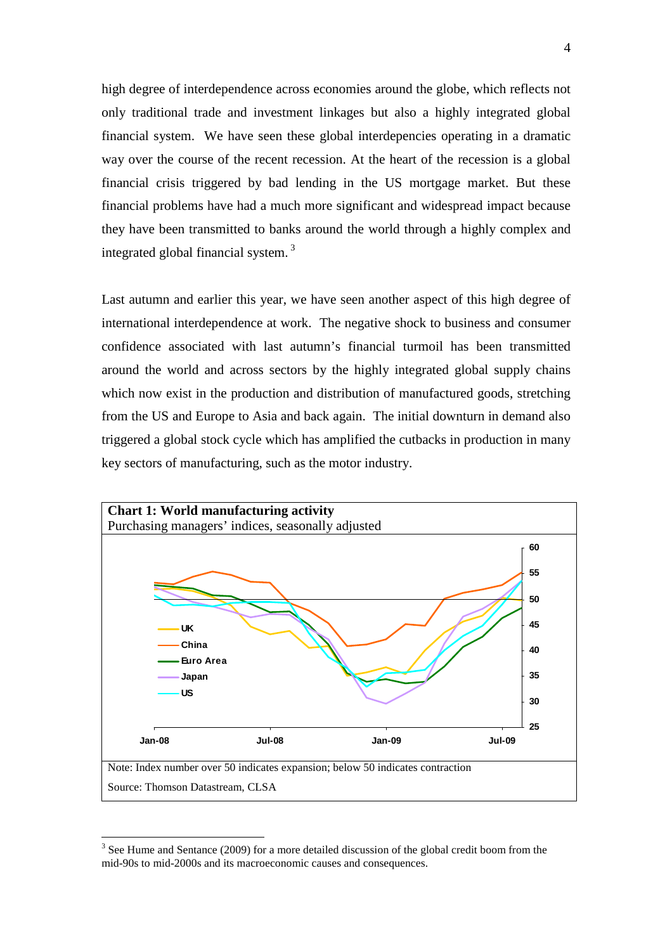high degree of interdependence across economies around the globe, which reflects not only traditional trade and investment linkages but also a highly integrated global financial system. We have seen these global interdepencies operating in a dramatic way over the course of the recent recession. At the heart of the recession is a global financial crisis triggered by bad lending in the US mortgage market. But these financial problems have had a much more significant and widespread impact because they have been transmitted to banks around the world through a highly complex and integrated global financial system. <sup>3</sup>

Last autumn and earlier this year, we have seen another aspect of this high degree of international interdependence at work. The negative shock to business and consumer confidence associated with last autumn's financial turmoil has been transmitted around the world and across sectors by the highly integrated global supply chains which now exist in the production and distribution of manufactured goods, stretching from the US and Europe to Asia and back again. The initial downturn in demand also triggered a global stock cycle which has amplified the cutbacks in production in many key sectors of manufacturing, such as the motor industry.



 $3$  See Hume and Sentance (2009) for a more detailed discussion of the global credit boom from the mid-90s to mid-2000s and its macroeconomic causes and consequences.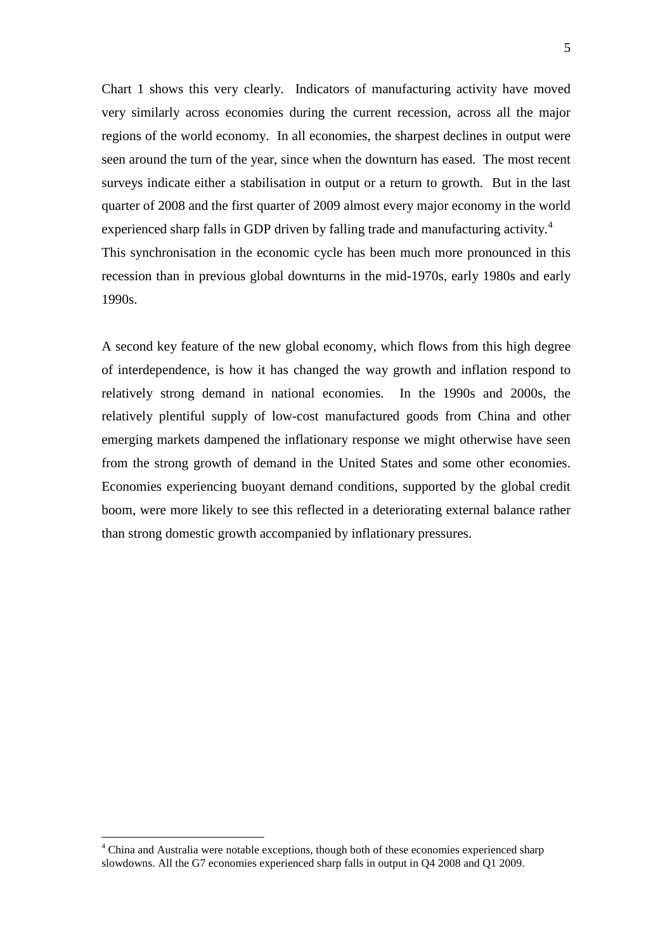Chart 1 shows this very clearly. Indicators of manufacturing activity have moved very similarly across economies during the current recession, across all the major regions of the world economy. In all economies, the sharpest declines in output were seen around the turn of the year, since when the downturn has eased. The most recent surveys indicate either a stabilisation in output or a return to growth. But in the last quarter of 2008 and the first quarter of 2009 almost every major economy in the world experienced sharp falls in GDP driven by falling trade and manufacturing activity.<sup>4</sup> This synchronisation in the economic cycle has been much more pronounced in this recession than in previous global downturns in the mid-1970s, early 1980s and early 1990s.

A second key feature of the new global economy, which flows from this high degree of interdependence, is how it has changed the way growth and inflation respond to relatively strong demand in national economies. In the 1990s and 2000s, the relatively plentiful supply of low-cost manufactured goods from China and other emerging markets dampened the inflationary response we might otherwise have seen from the strong growth of demand in the United States and some other economies. Economies experiencing buoyant demand conditions, supported by the global credit boom, were more likely to see this reflected in a deteriorating external balance rather than strong domestic growth accompanied by inflationary pressures.

<sup>4</sup> China and Australia were notable exceptions, though both of these economies experienced sharp slowdowns. All the G7 economies experienced sharp falls in output in Q4 2008 and Q1 2009.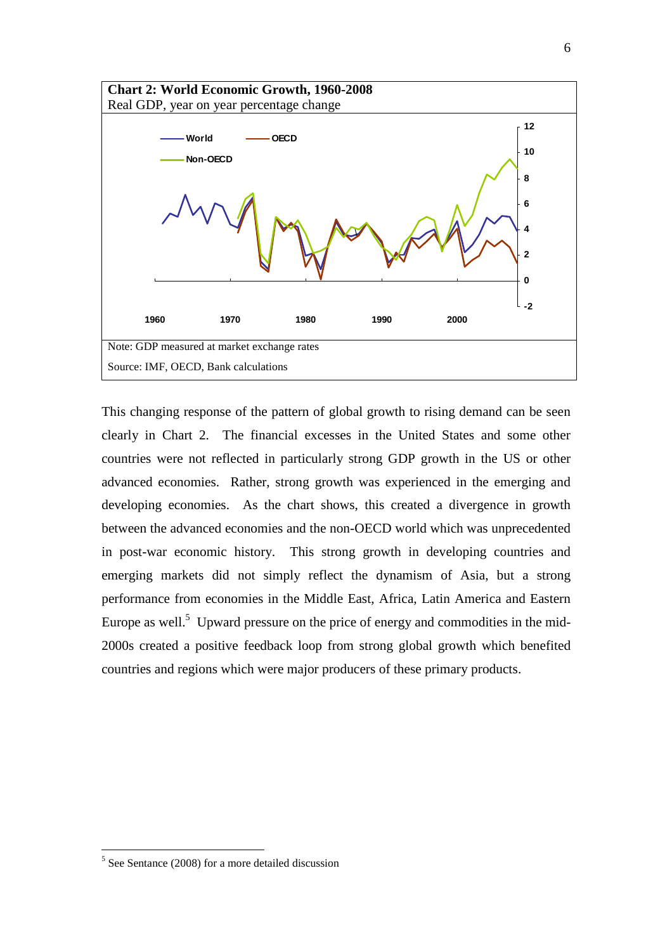

This changing response of the pattern of global growth to rising demand can be seen clearly in Chart 2. The financial excesses in the United States and some other countries were not reflected in particularly strong GDP growth in the US or other advanced economies. Rather, strong growth was experienced in the emerging and developing economies. As the chart shows, this created a divergence in growth between the advanced economies and the non-OECD world which was unprecedented in post-war economic history. This strong growth in developing countries and emerging markets did not simply reflect the dynamism of Asia, but a strong performance from economies in the Middle East, Africa, Latin America and Eastern Europe as well.<sup>5</sup> Upward pressure on the price of energy and commodities in the mid-2000s created a positive feedback loop from strong global growth which benefited countries and regions which were major producers of these primary products.

 $5$  See Sentance (2008) for a more detailed discussion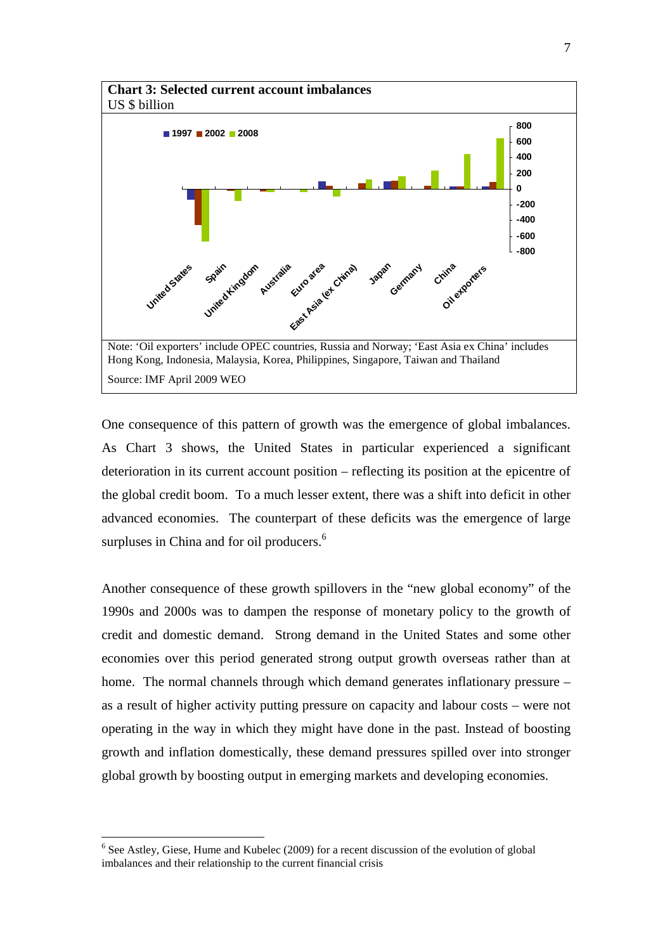

One consequence of this pattern of growth was the emergence of global imbalances. As Chart 3 shows, the United States in particular experienced a significant deterioration in its current account position – reflecting its position at the epicentre of the global credit boom. To a much lesser extent, there was a shift into deficit in other advanced economies. The counterpart of these deficits was the emergence of large surpluses in China and for oil producers.<sup>6</sup>

Another consequence of these growth spillovers in the "new global economy" of the 1990s and 2000s was to dampen the response of monetary policy to the growth of credit and domestic demand. Strong demand in the United States and some other economies over this period generated strong output growth overseas rather than at home. The normal channels through which demand generates inflationary pressure – as a result of higher activity putting pressure on capacity and labour costs – were not operating in the way in which they might have done in the past. Instead of boosting growth and inflation domestically, these demand pressures spilled over into stronger global growth by boosting output in emerging markets and developing economies.

<sup>&</sup>lt;sup>6</sup> See Astley, Giese, Hume and Kubelec (2009) for a recent discussion of the evolution of global imbalances and their relationship to the current financial crisis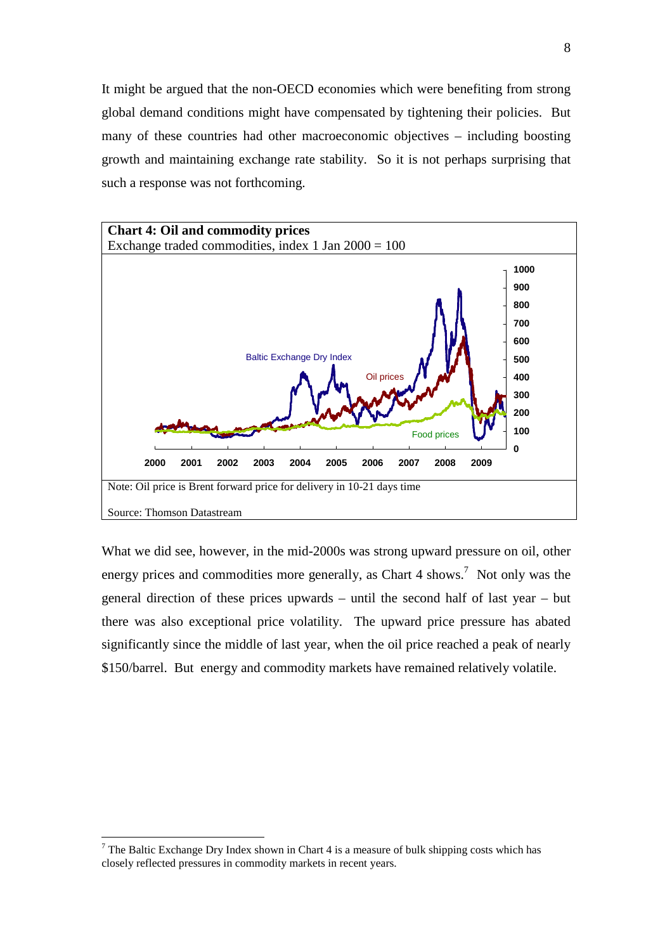It might be argued that the non-OECD economies which were benefiting from strong global demand conditions might have compensated by tightening their policies. But many of these countries had other macroeconomic objectives – including boosting growth and maintaining exchange rate stability. So it is not perhaps surprising that such a response was not forthcoming.



What we did see, however, in the mid-2000s was strong upward pressure on oil, other energy prices and commodities more generally, as Chart 4 shows.<sup>7</sup> Not only was the general direction of these prices upwards – until the second half of last year – but there was also exceptional price volatility. The upward price pressure has abated significantly since the middle of last year, when the oil price reached a peak of nearly \$150/barrel. But energy and commodity markets have remained relatively volatile.

<sup>&</sup>lt;sup>7</sup> The Baltic Exchange Dry Index shown in Chart 4 is a measure of bulk shipping costs which has closely reflected pressures in commodity markets in recent years.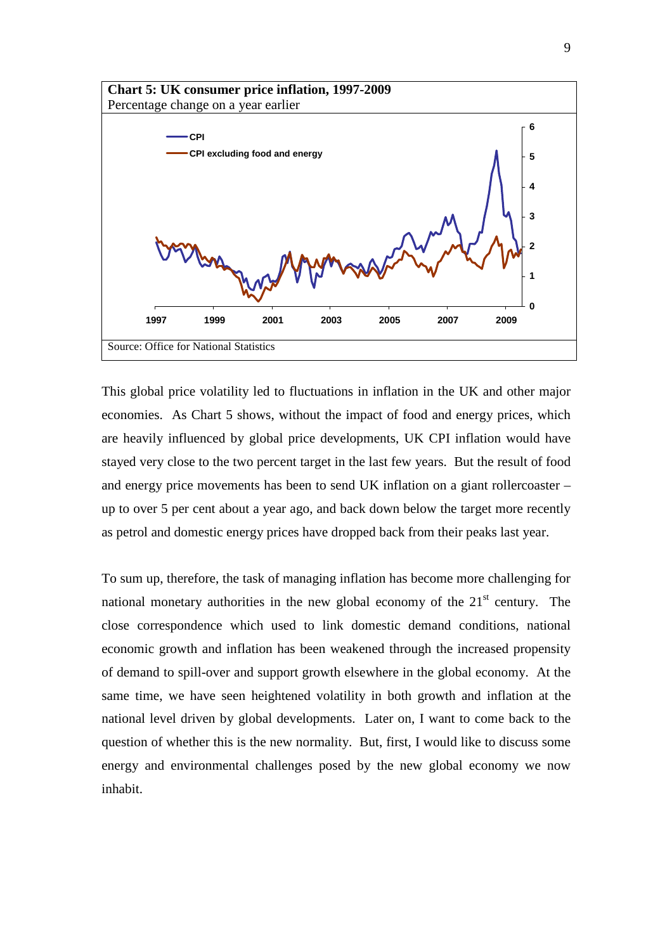

This global price volatility led to fluctuations in inflation in the UK and other major economies. As Chart 5 shows, without the impact of food and energy prices, which are heavily influenced by global price developments, UK CPI inflation would have stayed very close to the two percent target in the last few years. But the result of food and energy price movements has been to send UK inflation on a giant rollercoaster – up to over 5 per cent about a year ago, and back down below the target more recently as petrol and domestic energy prices have dropped back from their peaks last year.

To sum up, therefore, the task of managing inflation has become more challenging for national monetary authorities in the new global economy of the  $21<sup>st</sup>$  century. The close correspondence which used to link domestic demand conditions, national economic growth and inflation has been weakened through the increased propensity of demand to spill-over and support growth elsewhere in the global economy. At the same time, we have seen heightened volatility in both growth and inflation at the national level driven by global developments. Later on, I want to come back to the question of whether this is the new normality. But, first, I would like to discuss some energy and environmental challenges posed by the new global economy we now inhabit.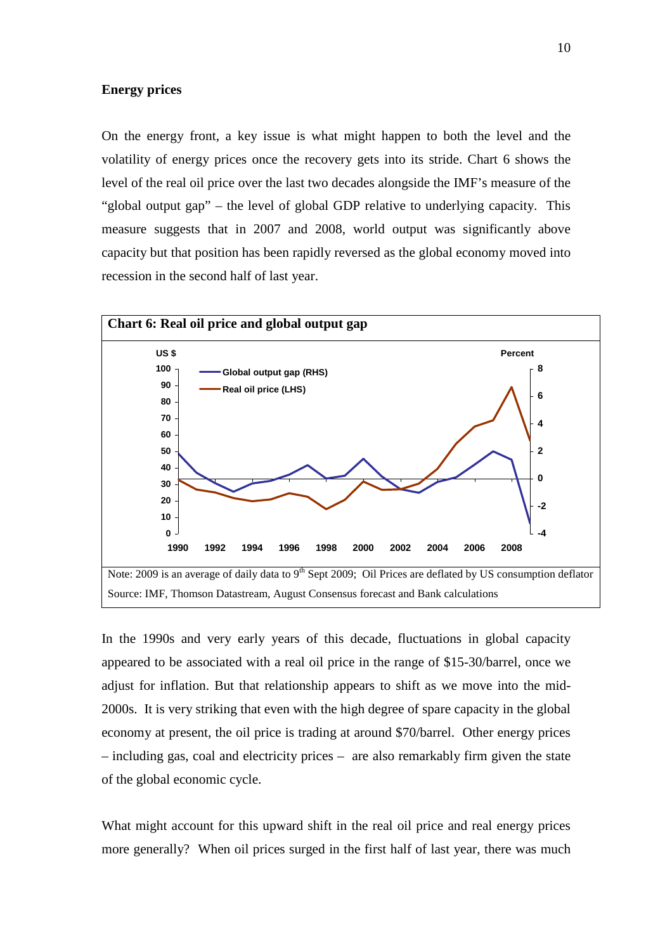## **Energy prices**

On the energy front, a key issue is what might happen to both the level and the volatility of energy prices once the recovery gets into its stride. Chart 6 shows the level of the real oil price over the last two decades alongside the IMF's measure of the "global output gap" – the level of global GDP relative to underlying capacity. This measure suggests that in 2007 and 2008, world output was significantly above capacity but that position has been rapidly reversed as the global economy moved into recession in the second half of last year.



In the 1990s and very early years of this decade, fluctuations in global capacity appeared to be associated with a real oil price in the range of \$15-30/barrel, once we adjust for inflation. But that relationship appears to shift as we move into the mid-2000s. It is very striking that even with the high degree of spare capacity in the global economy at present, the oil price is trading at around \$70/barrel. Other energy prices – including gas, coal and electricity prices – are also remarkably firm given the state of the global economic cycle.

What might account for this upward shift in the real oil price and real energy prices more generally? When oil prices surged in the first half of last year, there was much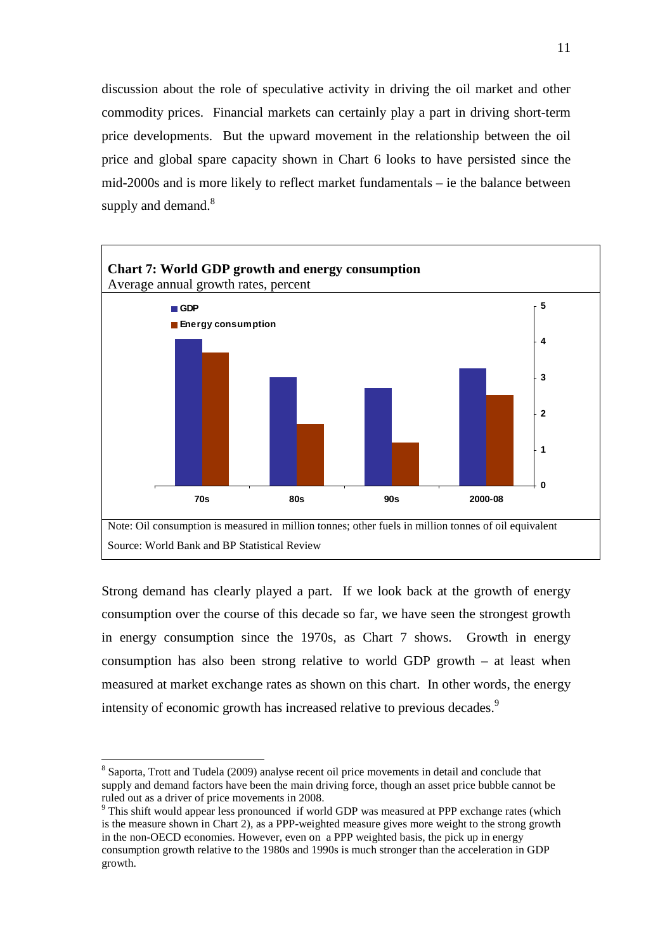discussion about the role of speculative activity in driving the oil market and other commodity prices. Financial markets can certainly play a part in driving short-term price developments. But the upward movement in the relationship between the oil price and global spare capacity shown in Chart 6 looks to have persisted since the mid-2000s and is more likely to reflect market fundamentals – ie the balance between supply and demand.<sup>8</sup>



Strong demand has clearly played a part. If we look back at the growth of energy consumption over the course of this decade so far, we have seen the strongest growth in energy consumption since the 1970s, as Chart 7 shows. Growth in energy consumption has also been strong relative to world GDP growth – at least when measured at market exchange rates as shown on this chart. In other words, the energy intensity of economic growth has increased relative to previous decades.<sup>9</sup>

<sup>&</sup>lt;sup>8</sup> Saporta, Trott and Tudela (2009) analyse recent oil price movements in detail and conclude that supply and demand factors have been the main driving force, though an asset price bubble cannot be ruled out as a driver of price movements in 2008.

<sup>&</sup>lt;sup>9</sup> This shift would appear less pronounced if world GDP was measured at PPP exchange rates (which is the measure shown in Chart 2), as a PPP-weighted measure gives more weight to the strong growth in the non-OECD economies. However, even on a PPP weighted basis, the pick up in energy consumption growth relative to the 1980s and 1990s is much stronger than the acceleration in GDP growth.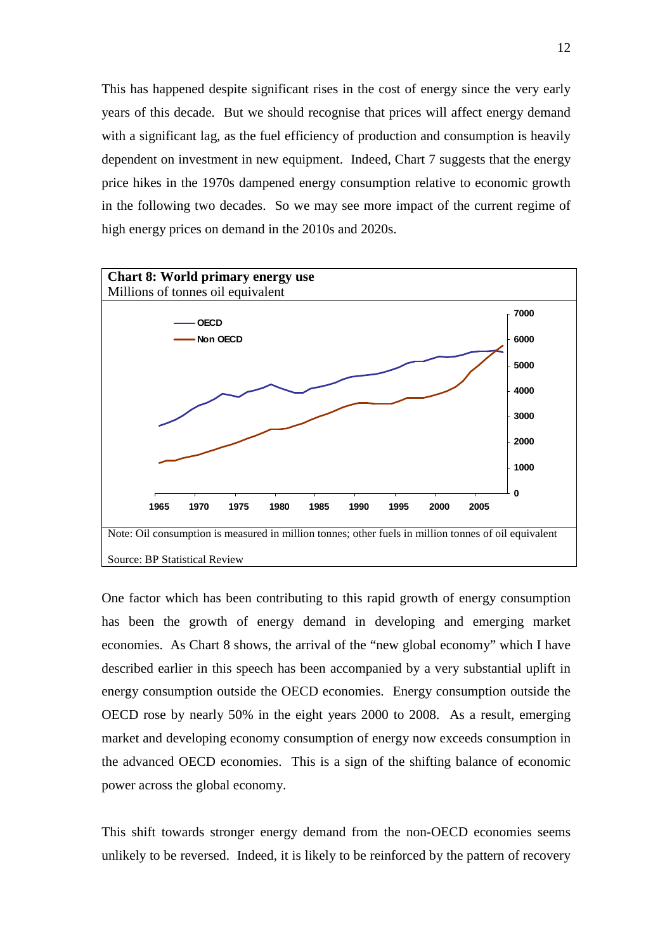This has happened despite significant rises in the cost of energy since the very early years of this decade. But we should recognise that prices will affect energy demand with a significant lag, as the fuel efficiency of production and consumption is heavily dependent on investment in new equipment. Indeed, Chart 7 suggests that the energy price hikes in the 1970s dampened energy consumption relative to economic growth in the following two decades. So we may see more impact of the current regime of high energy prices on demand in the 2010s and 2020s.



One factor which has been contributing to this rapid growth of energy consumption has been the growth of energy demand in developing and emerging market economies. As Chart 8 shows, the arrival of the "new global economy" which I have described earlier in this speech has been accompanied by a very substantial uplift in energy consumption outside the OECD economies. Energy consumption outside the OECD rose by nearly 50% in the eight years 2000 to 2008. As a result, emerging market and developing economy consumption of energy now exceeds consumption in the advanced OECD economies. This is a sign of the shifting balance of economic power across the global economy.

This shift towards stronger energy demand from the non-OECD economies seems unlikely to be reversed. Indeed, it is likely to be reinforced by the pattern of recovery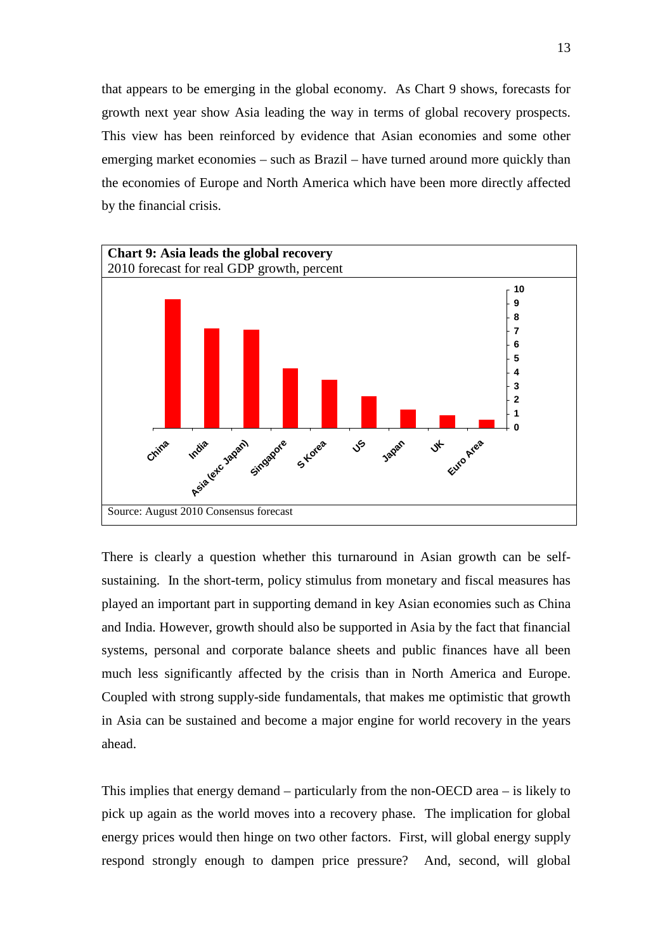that appears to be emerging in the global economy. As Chart 9 shows, forecasts for growth next year show Asia leading the way in terms of global recovery prospects. This view has been reinforced by evidence that Asian economies and some other emerging market economies – such as Brazil – have turned around more quickly than the economies of Europe and North America which have been more directly affected by the financial crisis.



There is clearly a question whether this turnaround in Asian growth can be selfsustaining. In the short-term, policy stimulus from monetary and fiscal measures has played an important part in supporting demand in key Asian economies such as China and India. However, growth should also be supported in Asia by the fact that financial systems, personal and corporate balance sheets and public finances have all been much less significantly affected by the crisis than in North America and Europe. Coupled with strong supply-side fundamentals, that makes me optimistic that growth in Asia can be sustained and become a major engine for world recovery in the years ahead.

This implies that energy demand – particularly from the non-OECD area – is likely to pick up again as the world moves into a recovery phase. The implication for global energy prices would then hinge on two other factors. First, will global energy supply respond strongly enough to dampen price pressure? And, second, will global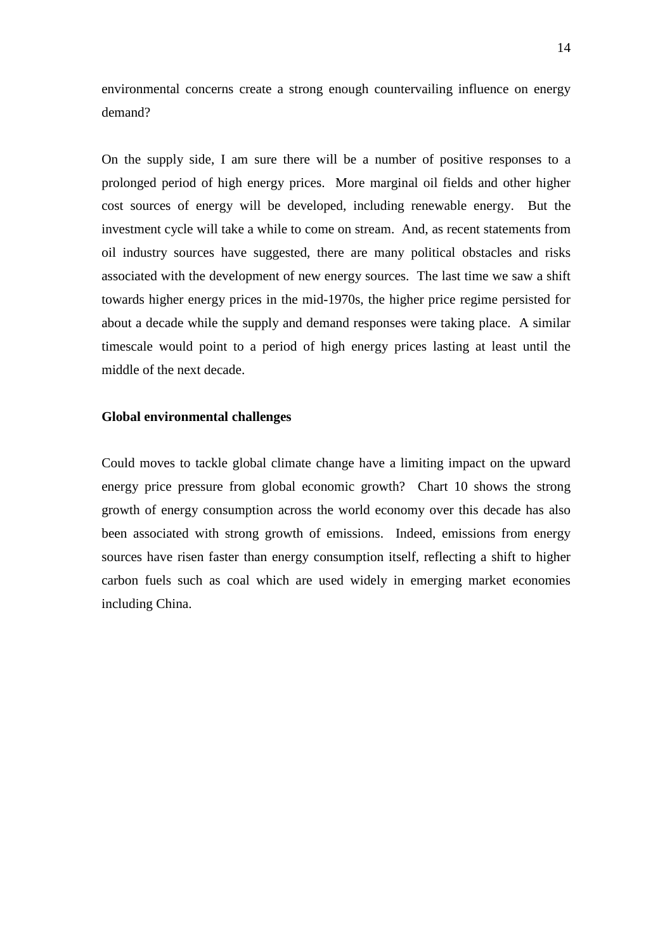environmental concerns create a strong enough countervailing influence on energy demand?

On the supply side, I am sure there will be a number of positive responses to a prolonged period of high energy prices. More marginal oil fields and other higher cost sources of energy will be developed, including renewable energy. But the investment cycle will take a while to come on stream. And, as recent statements from oil industry sources have suggested, there are many political obstacles and risks associated with the development of new energy sources. The last time we saw a shift towards higher energy prices in the mid-1970s, the higher price regime persisted for about a decade while the supply and demand responses were taking place. A similar timescale would point to a period of high energy prices lasting at least until the middle of the next decade.

#### **Global environmental challenges**

Could moves to tackle global climate change have a limiting impact on the upward energy price pressure from global economic growth? Chart 10 shows the strong growth of energy consumption across the world economy over this decade has also been associated with strong growth of emissions. Indeed, emissions from energy sources have risen faster than energy consumption itself, reflecting a shift to higher carbon fuels such as coal which are used widely in emerging market economies including China.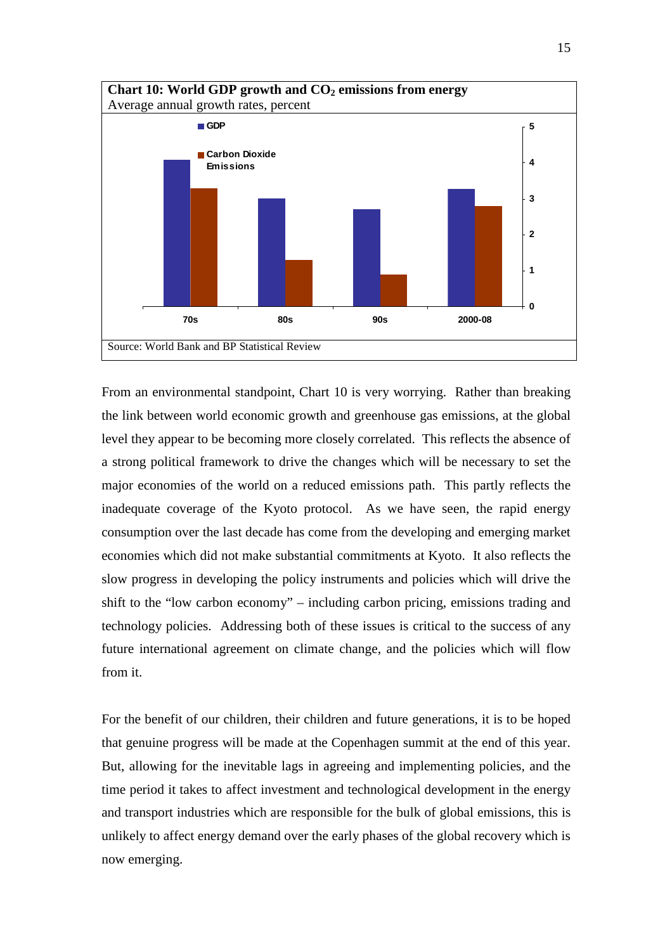

From an environmental standpoint, Chart 10 is very worrying. Rather than breaking the link between world economic growth and greenhouse gas emissions, at the global level they appear to be becoming more closely correlated. This reflects the absence of a strong political framework to drive the changes which will be necessary to set the major economies of the world on a reduced emissions path. This partly reflects the inadequate coverage of the Kyoto protocol. As we have seen, the rapid energy consumption over the last decade has come from the developing and emerging market economies which did not make substantial commitments at Kyoto. It also reflects the slow progress in developing the policy instruments and policies which will drive the shift to the "low carbon economy" – including carbon pricing, emissions trading and technology policies. Addressing both of these issues is critical to the success of any future international agreement on climate change, and the policies which will flow from it.

For the benefit of our children, their children and future generations, it is to be hoped that genuine progress will be made at the Copenhagen summit at the end of this year. But, allowing for the inevitable lags in agreeing and implementing policies, and the time period it takes to affect investment and technological development in the energy and transport industries which are responsible for the bulk of global emissions, this is unlikely to affect energy demand over the early phases of the global recovery which is now emerging.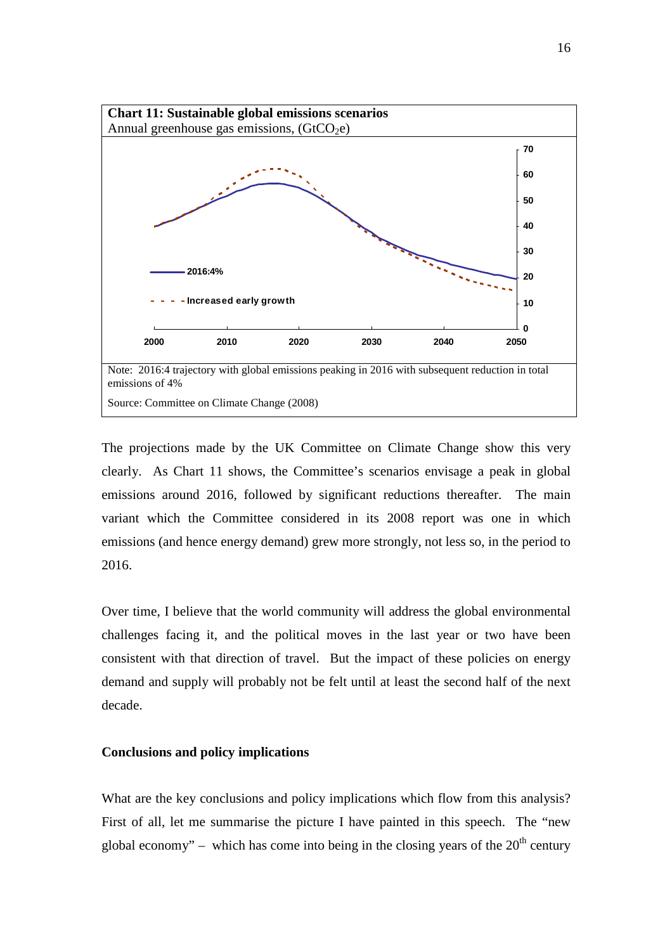

The projections made by the UK Committee on Climate Change show this very clearly. As Chart 11 shows, the Committee's scenarios envisage a peak in global emissions around 2016, followed by significant reductions thereafter. The main variant which the Committee considered in its 2008 report was one in which emissions (and hence energy demand) grew more strongly, not less so, in the period to 2016.

Over time, I believe that the world community will address the global environmental challenges facing it, and the political moves in the last year or two have been consistent with that direction of travel. But the impact of these policies on energy demand and supply will probably not be felt until at least the second half of the next decade.

## **Conclusions and policy implications**

What are the key conclusions and policy implications which flow from this analysis? First of all, let me summarise the picture I have painted in this speech. The "new global economy" – which has come into being in the closing years of the  $20<sup>th</sup>$  century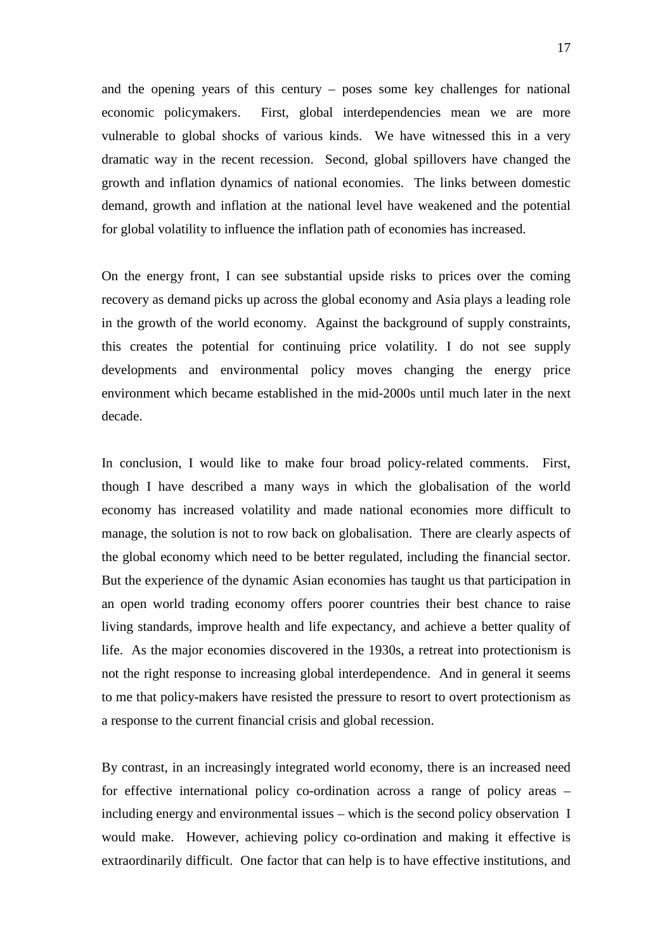and the opening years of this century – poses some key challenges for national economic policymakers. First, global interdependencies mean we are more vulnerable to global shocks of various kinds. We have witnessed this in a very dramatic way in the recent recession. Second, global spillovers have changed the growth and inflation dynamics of national economies. The links between domestic demand, growth and inflation at the national level have weakened and the potential for global volatility to influence the inflation path of economies has increased.

On the energy front, I can see substantial upside risks to prices over the coming recovery as demand picks up across the global economy and Asia plays a leading role in the growth of the world economy. Against the background of supply constraints, this creates the potential for continuing price volatility. I do not see supply developments and environmental policy moves changing the energy price environment which became established in the mid-2000s until much later in the next decade.

In conclusion, I would like to make four broad policy-related comments. First, though I have described a many ways in which the globalisation of the world economy has increased volatility and made national economies more difficult to manage, the solution is not to row back on globalisation. There are clearly aspects of the global economy which need to be better regulated, including the financial sector. But the experience of the dynamic Asian economies has taught us that participation in an open world trading economy offers poorer countries their best chance to raise living standards, improve health and life expectancy, and achieve a better quality of life. As the major economies discovered in the 1930s, a retreat into protectionism is not the right response to increasing global interdependence. And in general it seems to me that policy-makers have resisted the pressure to resort to overt protectionism as a response to the current financial crisis and global recession.

By contrast, in an increasingly integrated world economy, there is an increased need for effective international policy co-ordination across a range of policy areas – including energy and environmental issues – which is the second policy observation I would make. However, achieving policy co-ordination and making it effective is extraordinarily difficult. One factor that can help is to have effective institutions, and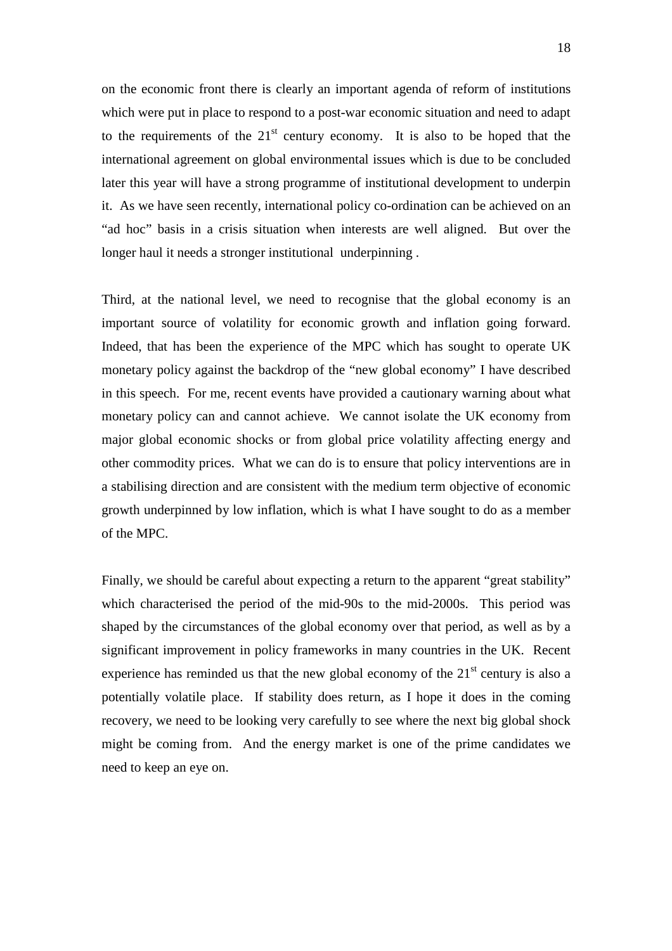on the economic front there is clearly an important agenda of reform of institutions which were put in place to respond to a post-war economic situation and need to adapt to the requirements of the  $21<sup>st</sup>$  century economy. It is also to be hoped that the international agreement on global environmental issues which is due to be concluded later this year will have a strong programme of institutional development to underpin it. As we have seen recently, international policy co-ordination can be achieved on an "ad hoc" basis in a crisis situation when interests are well aligned. But over the longer haul it needs a stronger institutional underpinning .

Third, at the national level, we need to recognise that the global economy is an important source of volatility for economic growth and inflation going forward. Indeed, that has been the experience of the MPC which has sought to operate UK monetary policy against the backdrop of the "new global economy" I have described in this speech. For me, recent events have provided a cautionary warning about what monetary policy can and cannot achieve. We cannot isolate the UK economy from major global economic shocks or from global price volatility affecting energy and other commodity prices. What we can do is to ensure that policy interventions are in a stabilising direction and are consistent with the medium term objective of economic growth underpinned by low inflation, which is what I have sought to do as a member of the MPC.

Finally, we should be careful about expecting a return to the apparent "great stability" which characterised the period of the mid-90s to the mid-2000s. This period was shaped by the circumstances of the global economy over that period, as well as by a significant improvement in policy frameworks in many countries in the UK. Recent experience has reminded us that the new global economy of the  $21<sup>st</sup>$  century is also a potentially volatile place. If stability does return, as I hope it does in the coming recovery, we need to be looking very carefully to see where the next big global shock might be coming from. And the energy market is one of the prime candidates we need to keep an eye on.